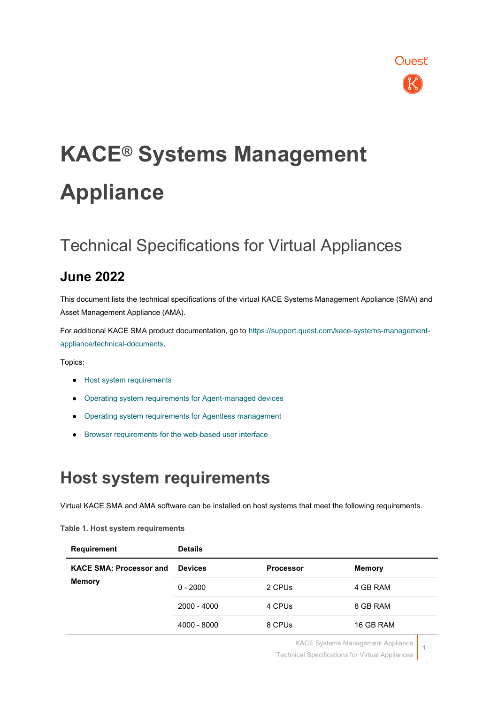

# **KACE® Systems Management Appliance**

### Technical Specifications for Virtual Appliances

### **June 2022**

This document lists the technical specifications of the virtual KACE Systems Management Appliance (SMA) and Asset Management Appliance (AMA).

For additional KACE SMA product documentation, go to [https://support.quest.com/kace-systems-management](https://support.quest.com/kace-systems-management-appliance/technical-documents)[appliance/technical-documents.](https://support.quest.com/kace-systems-management-appliance/technical-documents)

Topics:

- [Host system requirements](#page-0-0)
- [Operating system requirements for Agent-managed devices](#page-2-0)
- [Operating system requirements for Agentless management](#page-2-1)
- <span id="page-0-0"></span>[Browser requirements for the web-based user interface](#page-3-0)

### **Host system requirements**

Virtual KACE SMA and AMA software can be installed on host systems that meet the following requirements.

### **Table 1. Host system requirements**

| <b>Requirement</b>                       | <b>Details</b> |                  |               |
|------------------------------------------|----------------|------------------|---------------|
| <b>KACE SMA: Processor and</b><br>Memory | <b>Devices</b> | <b>Processor</b> | <b>Memory</b> |
|                                          | $0 - 2000$     | 2 CPUs           | 4 GB RAM      |
|                                          | 2000 - 4000    | 4 CPUs           | 8 GB RAM      |
|                                          | 4000 - 8000    | 8 CPUs           | 16 GB RAM     |

KACE Systems Management Appliance

Technical Specifications for Virtual Appliances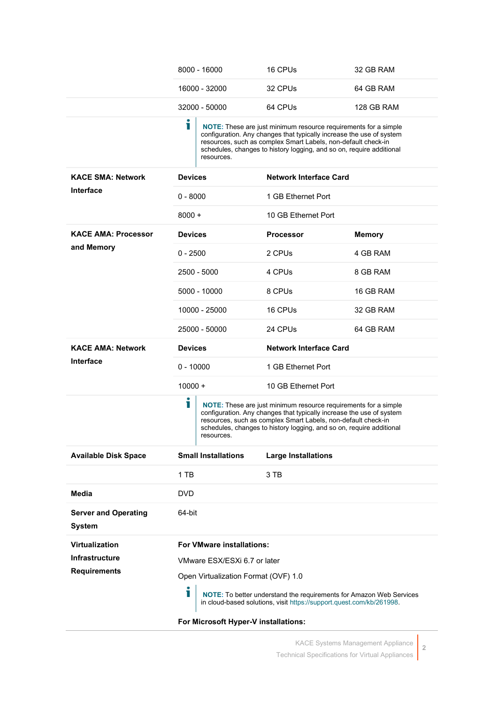|                                              | 8000 - 16000                         | 16 CPUs                                                                                                                                                                                                                                                                          | 32 GB RAM     |
|----------------------------------------------|--------------------------------------|----------------------------------------------------------------------------------------------------------------------------------------------------------------------------------------------------------------------------------------------------------------------------------|---------------|
|                                              | 16000 - 32000                        | 32 CPUs                                                                                                                                                                                                                                                                          | 64 GB RAM     |
|                                              | 32000 - 50000                        | 64 CPUs                                                                                                                                                                                                                                                                          | 128 GB RAM    |
|                                              | 1<br>resources.                      | NOTE: These are just minimum resource requirements for a simple<br>configuration. Any changes that typically increase the use of system<br>resources, such as complex Smart Labels, non-default check-in<br>schedules, changes to history logging, and so on, require additional |               |
| <b>KACE SMA: Network</b>                     | <b>Devices</b>                       | <b>Network Interface Card</b>                                                                                                                                                                                                                                                    |               |
| <b>Interface</b>                             | $0 - 8000$                           | 1 GB Ethernet Port                                                                                                                                                                                                                                                               |               |
|                                              | $8000 +$                             | 10 GB Ethernet Port                                                                                                                                                                                                                                                              |               |
| <b>KACE AMA: Processor</b>                   | <b>Devices</b>                       | <b>Processor</b>                                                                                                                                                                                                                                                                 | <b>Memory</b> |
| and Memory                                   | $0 - 2500$                           | 2 CPUs                                                                                                                                                                                                                                                                           | 4 GB RAM      |
|                                              | 2500 - 5000                          | 4 CPUs                                                                                                                                                                                                                                                                           | 8 GB RAM      |
|                                              | 5000 - 10000                         | 8 CPUs                                                                                                                                                                                                                                                                           | 16 GB RAM     |
|                                              | 10000 - 25000                        | 16 CPUs                                                                                                                                                                                                                                                                          | 32 GB RAM     |
|                                              | 25000 - 50000                        | 24 CPUs                                                                                                                                                                                                                                                                          | 64 GB RAM     |
| <b>KACE AMA: Network</b>                     |                                      | <b>Network Interface Card</b>                                                                                                                                                                                                                                                    |               |
|                                              | <b>Devices</b>                       |                                                                                                                                                                                                                                                                                  |               |
| <b>Interface</b>                             | $0 - 10000$                          | 1 GB Ethernet Port                                                                                                                                                                                                                                                               |               |
|                                              | 10000 +                              | 10 GB Ethernet Port                                                                                                                                                                                                                                                              |               |
|                                              | i<br>resources.                      | NOTE: These are just minimum resource requirements for a simple<br>configuration. Any changes that typically increase the use of system<br>resources, such as complex Smart Labels, non-default check-in<br>schedules, changes to history logging, and so on, require additional |               |
| <b>Available Disk Space</b>                  | <b>Small Installations</b>           | <b>Large Installations</b>                                                                                                                                                                                                                                                       |               |
|                                              | 1 TB                                 | 3 TB                                                                                                                                                                                                                                                                             |               |
| Media                                        | <b>DVD</b>                           |                                                                                                                                                                                                                                                                                  |               |
| <b>Server and Operating</b><br><b>System</b> | 64-bit                               |                                                                                                                                                                                                                                                                                  |               |
| Virtualization                               | <b>For VMware installations:</b>     |                                                                                                                                                                                                                                                                                  |               |
| <b>Infrastructure</b>                        | VMware ESX/ESXi 6.7 or later         |                                                                                                                                                                                                                                                                                  |               |
| <b>Requirements</b>                          | Open Virtualization Format (OVF) 1.0 |                                                                                                                                                                                                                                                                                  |               |
|                                              | i                                    | NOTE: To better understand the requirements for Amazon Web Services<br>in cloud-based solutions, visit https://support.quest.com/kb/261998.                                                                                                                                      |               |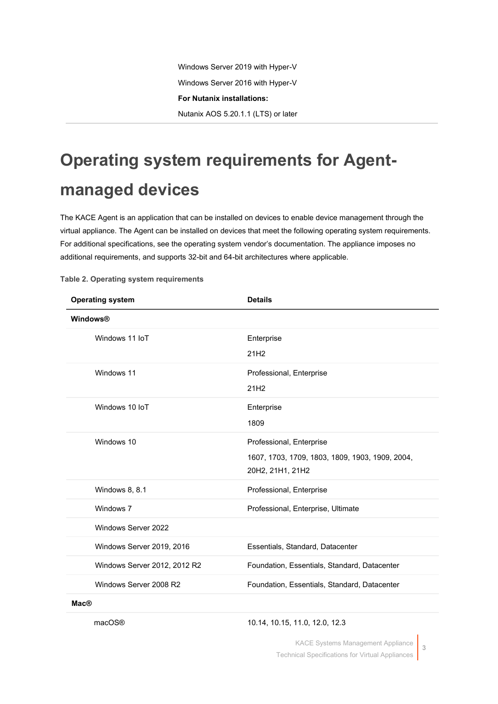## <span id="page-2-0"></span>**Operating system requirements for Agentmanaged devices**

The KACE Agent is an application that can be installed on devices to enable device management through the virtual appliance. The Agent can be installed on devices that meet the following operating system requirements. For additional specifications, see the operating system vendor's documentation. The appliance imposes no additional requirements, and supports 32-bit and 64-bit architectures where applicable.

| <b>Operating system</b>      | <b>Details</b>                                                                                  |
|------------------------------|-------------------------------------------------------------------------------------------------|
| Windows®                     |                                                                                                 |
| Windows 11 IoT               | Enterprise<br>21H <sub>2</sub>                                                                  |
| Windows 11                   | Professional, Enterprise<br>21H <sub>2</sub>                                                    |
| Windows 10 IoT               | Enterprise<br>1809                                                                              |
| Windows 10                   | Professional, Enterprise<br>1607, 1703, 1709, 1803, 1809, 1903, 1909, 2004,<br>20H2, 21H1, 21H2 |
| Windows 8, 8.1               | Professional, Enterprise                                                                        |
| Windows 7                    | Professional, Enterprise, Ultimate                                                              |
| Windows Server 2022          |                                                                                                 |
| Windows Server 2019, 2016    | Essentials, Standard, Datacenter                                                                |
| Windows Server 2012, 2012 R2 | Foundation, Essentials, Standard, Datacenter                                                    |
| Windows Server 2008 R2       | Foundation, Essentials, Standard, Datacenter                                                    |
| Mac@                         |                                                                                                 |

<span id="page-2-1"></span>**Table 2. Operating system requirements**

### macOS® 10.14, 10.15, 11.0, 12.0, 12.3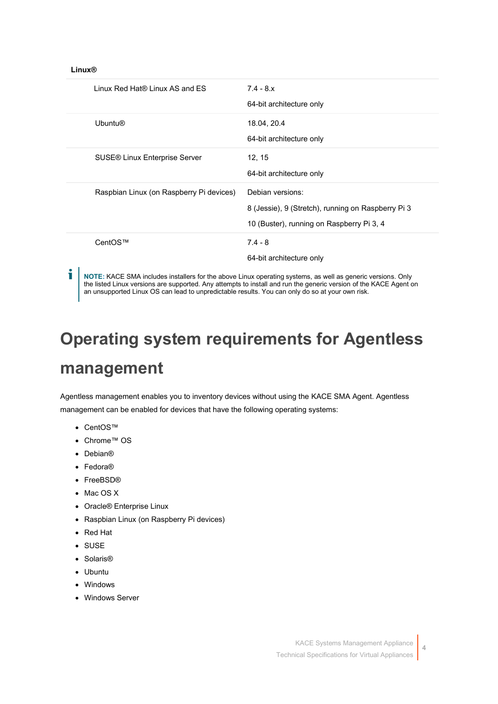### **Linux®**

| Linux Red Hat® Linux AS and ES           | $7.4 - 8.x$<br>64-bit architecture only                                                                             |
|------------------------------------------|---------------------------------------------------------------------------------------------------------------------|
| <b>Ubuntu®</b>                           | 18.04, 20.4<br>64-bit architecture only                                                                             |
| <b>SUSE® Linux Enterprise Server</b>     | 12, 15<br>64-bit architecture only                                                                                  |
| Raspbian Linux (on Raspberry Pi devices) | Debian versions:<br>8 (Jessie), 9 (Stretch), running on Raspberry Pi 3<br>10 (Buster), running on Raspberry Pi 3, 4 |
| CentOS™                                  | $7.4 - 8$<br>64-bit architecture only                                                                               |

i **NOTE:** KACE SMA includes installers for the above Linux operating systems, as well as generic versions. Only the listed Linux versions are supported. Any attempts to install and run the generic version of the KACE Agent on an unsupported Linux OS can lead to unpredictable results. You can only do so at your own risk.

# **Operating system requirements for Agentless**

### **management**

Agentless management enables you to inventory devices without using the KACE SMA Agent. Agentless management can be enabled for devices that have the following operating systems:

- <span id="page-3-0"></span>• CentOS™
- Chrome™ OS
- Debian®
- Fedora®
- FreeBSD®
- Mac OS X
- Oracle® Enterprise Linux
- Raspbian Linux (on Raspberry Pi devices)
- Red Hat
- SUSE
- Solaris®
- Ubuntu
- Windows
- Windows Server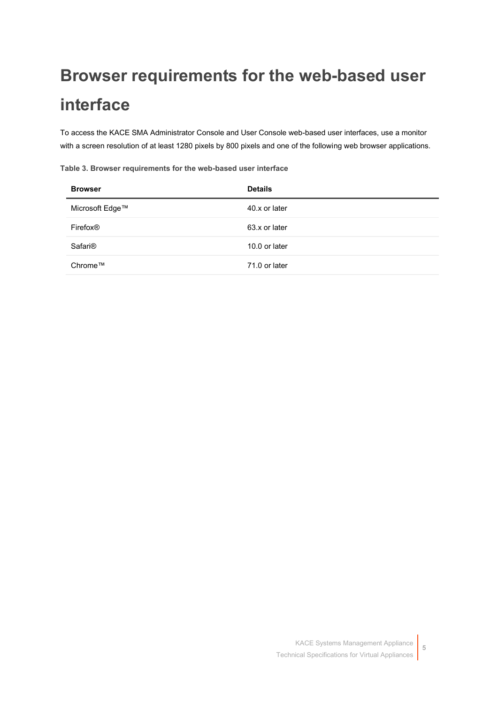## **Browser requirements for the web-based user interface**

To access the KACE SMA Administrator Console and User Console web-based user interfaces, use a monitor with a screen resolution of at least 1280 pixels by 800 pixels and one of the following web browser applications.

**Table 3. Browser requirements for the web-based user interface**

| <b>Browser</b>       | <b>Details</b> |
|----------------------|----------------|
| Microsoft Edge™      | 40.x or later  |
| Firefox <sup>®</sup> | 63.x or later  |
| Safari <sup>®</sup>  | 10.0 or later  |
| Chrome™              | 71.0 or later  |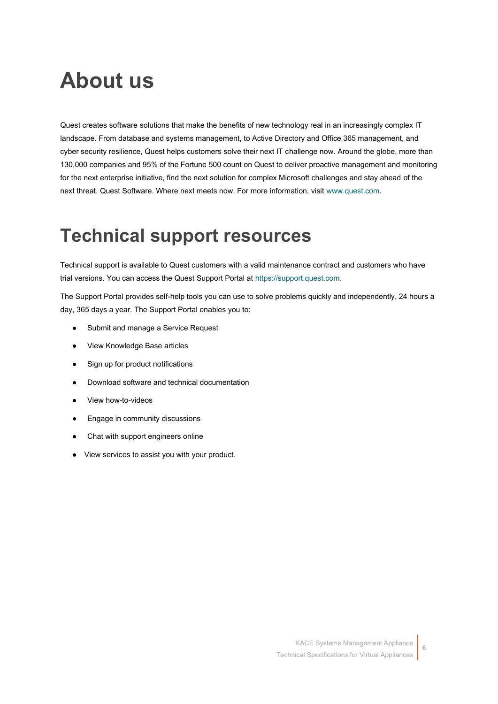## **About us**

Quest creates software solutions that make the benefits of new technology real in an increasingly complex IT landscape. From database and systems management, to Active Directory and Office 365 management, and cyber security resilience, Quest helps customers solve their next IT challenge now. Around the globe, more than 130,000 companies and 95% of the Fortune 500 count on Quest to deliver proactive management and monitoring for the next enterprise initiative, find the next solution for complex Microsoft challenges and stay ahead of the next threat. Quest Software. Where next meets now. For more information, visit [www.quest.com.](https://www.quest.com/company/contact-us.aspx)

## **Technical support resources**

Technical support is available to Quest customers with a valid maintenance contract and customers who have trial versions. You can access the Quest Support Portal at [https://support.quest.com.](https://support.quest.com/)

The Support Portal provides self-help tools you can use to solve problems quickly and independently, 24 hours a day, 365 days a year. The Support Portal enables you to:

- Submit and manage a Service Request
- View Knowledge Base articles
- Sign up for product notifications
- Download software and technical documentation
- View how-to-videos
- Engage in community discussions
- Chat with support engineers online
- View services to assist you with your product.